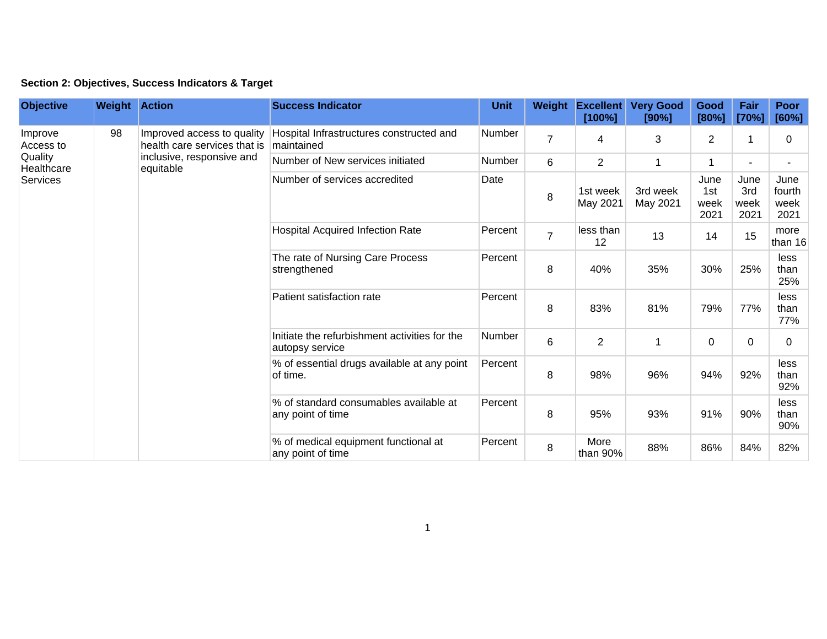|  | Section 2: Objectives, Success Indicators & Target |  |  |  |  |
|--|----------------------------------------------------|--|--|--|--|
|--|----------------------------------------------------|--|--|--|--|

| <b>Objective</b>                                          | <b>Weight Action</b> |                                                                                                      | <b>Success Indicator</b>                                         | <b>Unit</b> | Weight         | <b>Excellent</b><br>[100%] | <b>Very Good</b><br>[90%] | Good<br>[80%]               | Fair<br>[70%]               | <b>Poor</b><br>[60%]           |
|-----------------------------------------------------------|----------------------|------------------------------------------------------------------------------------------------------|------------------------------------------------------------------|-------------|----------------|----------------------------|---------------------------|-----------------------------|-----------------------------|--------------------------------|
| Improve<br>Access to<br>Quality<br>Healthcare<br>Services | 98                   | Improved access to quality<br>health care services that is<br>inclusive, responsive and<br>equitable | Hospital Infrastructures constructed and<br>maintained           | Number      | $\overline{7}$ | 4                          | 3                         | 2                           | 1                           | 0                              |
|                                                           |                      |                                                                                                      | Number of New services initiated                                 | Number      | 6              | $\overline{2}$             | 1                         | 1                           |                             |                                |
|                                                           |                      |                                                                                                      | Number of services accredited                                    | Date        | 8              | 1st week<br>May 2021       | 3rd week<br>May 2021      | June<br>1st<br>week<br>2021 | June<br>3rd<br>week<br>2021 | June<br>fourth<br>week<br>2021 |
|                                                           |                      |                                                                                                      | <b>Hospital Acquired Infection Rate</b>                          | Percent     | $\overline{7}$ | less than<br>12            | 13                        | 14                          | 15                          | more<br>than 16                |
|                                                           |                      |                                                                                                      | The rate of Nursing Care Process<br>strengthened                 | Percent     | 8              | 40%                        | 35%                       | 30%                         | 25%                         | less<br>than<br>25%            |
|                                                           |                      |                                                                                                      | Patient satisfaction rate                                        | Percent     | 8              | 83%                        | 81%                       | 79%                         | 77%                         | less<br>than<br>77%            |
|                                                           |                      |                                                                                                      | Initiate the refurbishment activities for the<br>autopsy service | Number      | 6              | $\overline{2}$             | 1                         | 0                           | 0                           | $\Omega$                       |
|                                                           |                      |                                                                                                      | % of essential drugs available at any point<br>of time.          | Percent     | 8              | 98%                        | 96%                       | 94%                         | 92%                         | less<br>than<br>92%            |
|                                                           |                      |                                                                                                      | % of standard consumables available at<br>any point of time      | Percent     | 8              | 95%                        | 93%                       | 91%                         | 90%                         | less<br>than<br>90%            |
|                                                           |                      |                                                                                                      | % of medical equipment functional at<br>any point of time        | Percent     | 8              | More<br>than 90%           | 88%                       | 86%                         | 84%                         | 82%                            |